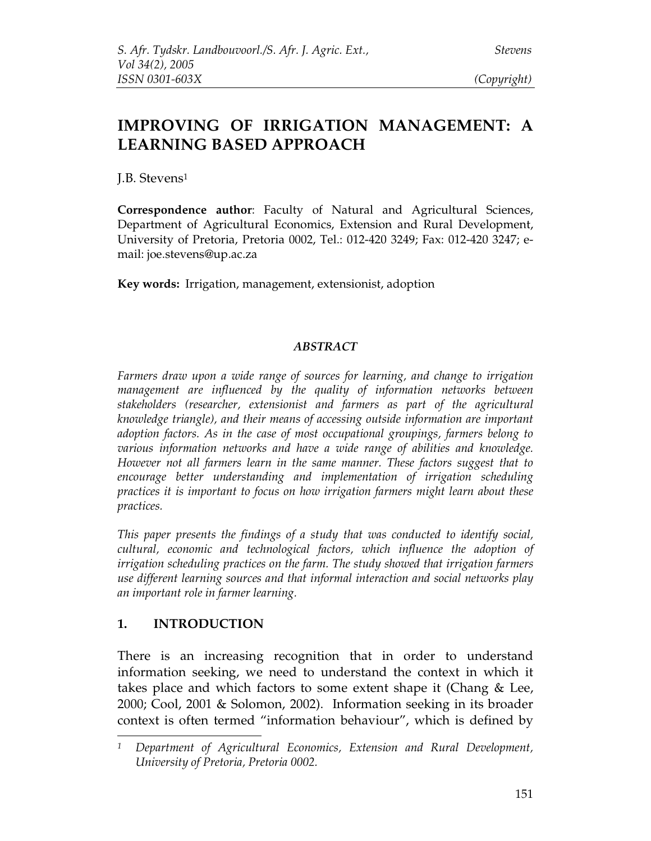# **IMPROVING OF IRRIGATION MANAGEMENT: A LEARNING BASED APPROACH**

J.B. Stevens 1

**Correspondence author**: Faculty of Natural and Agricultural Sciences, Department of Agricultural Economics, Extension and Rural Development, University of Pretoria, Pretoria 0002, Tel.: 012-420 3249; Fax: 012-420 3247; email: joe.stevens@up.ac.za

**Key words:** Irrigation, management, extensionist, adoption

#### *ABSTRACT*

*Farmers draw upon a wide range of sources for learning, and change to irrigation management are influenced by the quality of information networks between stakeholders (researcher, extensionist and farmers as part of the agricultural knowledge triangle), and their means of accessing outside information are important adoption factors. As in the case of most occupational groupings, farmers belong to various information networks and have a wide range of abilities and knowledge. However not all farmers learn in the same manner. These factors suggest that to encourage better understanding and implementation of irrigation scheduling practices it is important to focus on how irrigation farmers might learn about these practices.*

*This paper presents the findings of a study that was conducted to identify social, cultural, economic and technological factors, which influence the adoption of irrigation scheduling practices on the farm. The study showed that irrigation farmers use different learning sources and that informal interaction and social networks play an important role in farmer learning.*

### **1. INTRODUCTION**

There is an increasing recognition that in order to understand information seeking, we need to understand the context in which it takes place and which factors to some extent shape it (Chang & Lee, 2000; Cool, 2001 & Solomon, 2002). Information seeking in its broader context is often termed "information behaviour", which is defined by

*<sup>1</sup> Department of Agricultural Economics, Extension and Rural Development, University of Pretoria, Pretoria 0002.*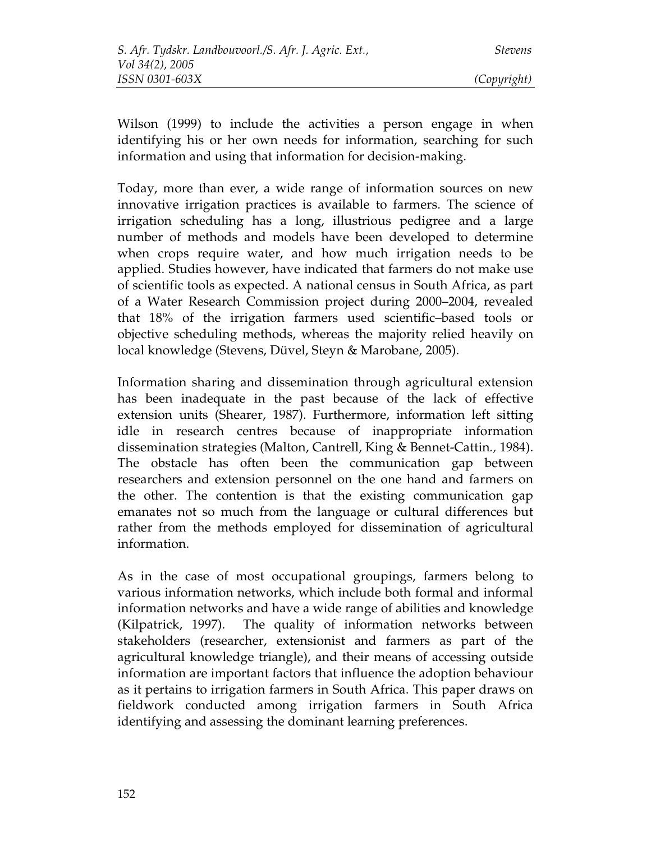Wilson (1999) to include the activities a person engage in when identifying his or her own needs for information, searching for such information and using that information for decision-making.

Today, more than ever, a wide range of information sources on new innovative irrigation practices is available to farmers. The science of irrigation scheduling has a long, illustrious pedigree and a large number of methods and models have been developed to determine when crops require water, and how much irrigation needs to be applied. Studies however, have indicated that farmers do not make use of scientific tools as expected. A national census in South Africa, as part of a Water Research Commission project during 2000–2004, revealed that 18% of the irrigation farmers used scientific–based tools or objective scheduling methods, whereas the majority relied heavily on local knowledge (Stevens, Düvel, Steyn & Marobane, 2005).

Information sharing and dissemination through agricultural extension has been inadequate in the past because of the lack of effective extension units (Shearer, 1987). Furthermore, information left sitting idle in research centres because of inappropriate information dissemination strategies (Malton, Cantrell, King & Bennet-Cattin*.,* 1984). The obstacle has often been the communication gap between researchers and extension personnel on the one hand and farmers on the other. The contention is that the existing communication gap emanates not so much from the language or cultural differences but rather from the methods employed for dissemination of agricultural information.

As in the case of most occupational groupings, farmers belong to various information networks, which include both formal and informal information networks and have a wide range of abilities and knowledge (Kilpatrick, 1997). The quality of information networks between stakeholders (researcher, extensionist and farmers as part of the agricultural knowledge triangle), and their means of accessing outside information are important factors that influence the adoption behaviour as it pertains to irrigation farmers in South Africa. This paper draws on fieldwork conducted among irrigation farmers in South Africa identifying and assessing the dominant learning preferences.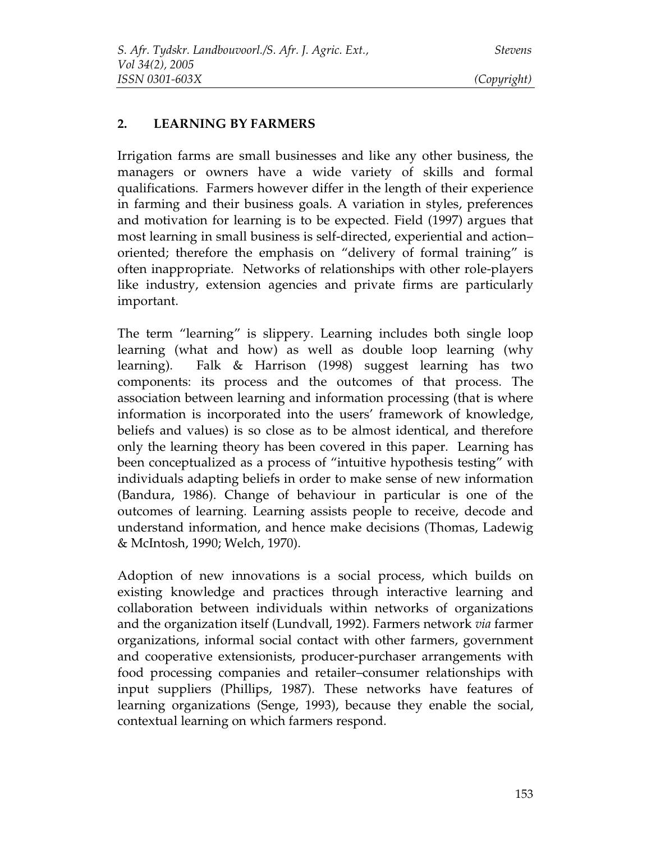#### **2. LEARNING BY FARMERS**

Irrigation farms are small businesses and like any other business, the managers or owners have a wide variety of skills and formal qualifications. Farmers however differ in the length of their experience in farming and their business goals. A variation in styles, preferences and motivation for learning is to be expected. Field (1997) argues that most learning in small business is self-directed, experiential and action– oriented; therefore the emphasis on "delivery of formal training" is often inappropriate. Networks of relationships with other role-players like industry, extension agencies and private firms are particularly important.

The term "learning" is slippery. Learning includes both single loop learning (what and how) as well as double loop learning (why learning). Falk & Harrison (1998) suggest learning has two components: its process and the outcomes of that process. The association between learning and information processing (that is where information is incorporated into the users' framework of knowledge, beliefs and values) is so close as to be almost identical, and therefore only the learning theory has been covered in this paper. Learning has been conceptualized as a process of "intuitive hypothesis testing" with individuals adapting beliefs in order to make sense of new information (Bandura, 1986). Change of behaviour in particular is one of the outcomes of learning. Learning assists people to receive, decode and understand information, and hence make decisions (Thomas, Ladewig & McIntosh, 1990; Welch, 1970).

Adoption of new innovations is a social process, which builds on existing knowledge and practices through interactive learning and collaboration between individuals within networks of organizations and the organization itself (Lundvall, 1992). Farmers network *via* farmer organizations, informal social contact with other farmers, government and cooperative extensionists, producer-purchaser arrangements with food processing companies and retailer–consumer relationships with input suppliers (Phillips, 1987). These networks have features of learning organizations (Senge, 1993), because they enable the social, contextual learning on which farmers respond.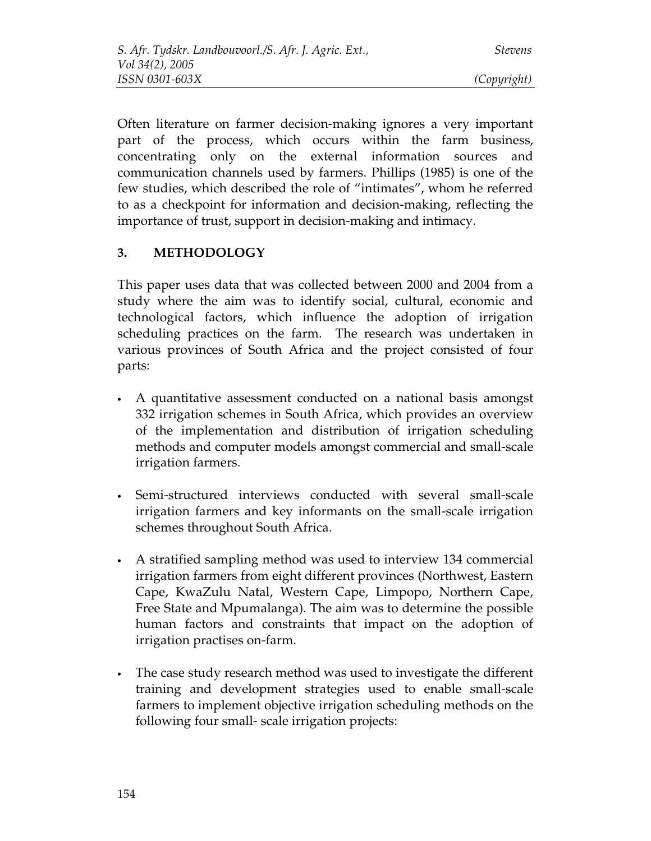Often literature on farmer decision-making ignores a very important part of the process, which occurs within the farm business, concentrating only on the external information sources and communication channels used by farmers. Phillips (1985) is one of the few studies, which described the role of "intimates", whom he referred to as a checkpoint for information and decision-making, reflecting the importance of trust, support in decision-making and intimacy.

## **3. METHODOLOGY**

This paper uses data that was collected between 2000 and 2004 from a study where the aim was to identify social, cultural, economic and technological factors, which influence the adoption of irrigation scheduling practices on the farm. The research was undertaken in various provinces of South Africa and the project consisted of four parts:

- A quantitative assessment conducted on a national basis amongst 332 irrigation schemes in South Africa, which provides an overview of the implementation and distribution of irrigation scheduling methods and computer models amongst commercial and small-scale irrigation farmers.
- Semi-structured interviews conducted with several small-scale irrigation farmers and key informants on the small-scale irrigation schemes throughout South Africa.
- A stratified sampling method was used to interview 134 commercial irrigation farmers from eight different provinces (Northwest, Eastern Cape, KwaZulu Natal, Western Cape, Limpopo, Northern Cape, Free State and Mpumalanga). The aim was to determine the possible human factors and constraints that impact on the adoption of irrigation practises on-farm.
- The case study research method was used to investigate the different training and development strategies used to enable small-scale farmers to implement objective irrigation scheduling methods on the following four small- scale irrigation projects: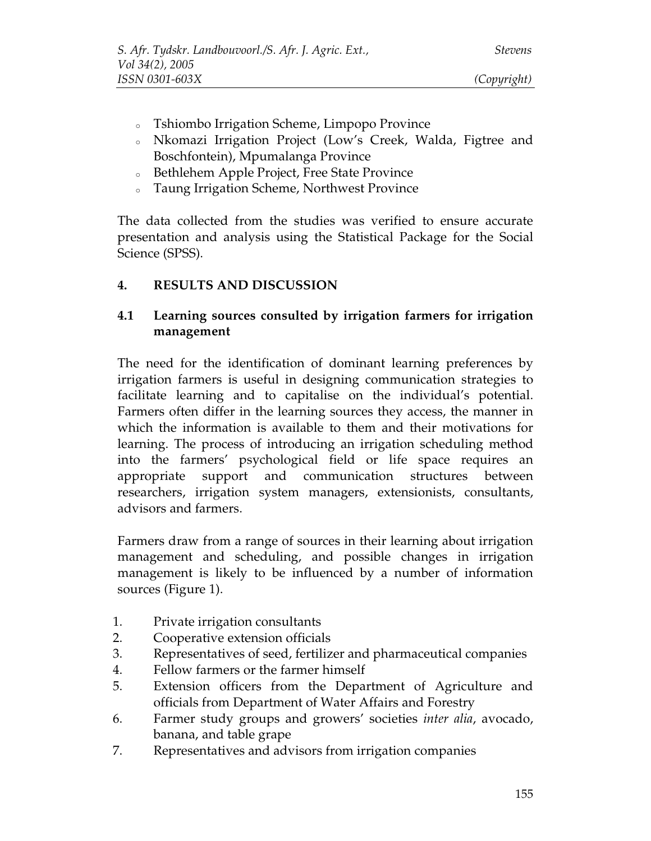- <sup>o</sup> Tshiombo Irrigation Scheme, Limpopo Province
- <sup>o</sup> Nkomazi Irrigation Project (Low's Creek, Walda, Figtree and Boschfontein), Mpumalanga Province
- <sup>o</sup> Bethlehem Apple Project, Free State Province
- <sup>o</sup> Taung Irrigation Scheme, Northwest Province

The data collected from the studies was verified to ensure accurate presentation and analysis using the Statistical Package for the Social Science (SPSS).

#### **4. RESULTS AND DISCUSSION**

#### **4.1 Learning sources consulted by irrigation farmers for irrigation management**

The need for the identification of dominant learning preferences by irrigation farmers is useful in designing communication strategies to facilitate learning and to capitalise on the individual's potential. Farmers often differ in the learning sources they access, the manner in which the information is available to them and their motivations for learning. The process of introducing an irrigation scheduling method into the farmers' psychological field or life space requires an appropriate support and communication structures between researchers, irrigation system managers, extensionists, consultants, advisors and farmers.

Farmers draw from a range of sources in their learning about irrigation management and scheduling, and possible changes in irrigation management is likely to be influenced by a number of information sources (Figure 1).

- 1. Private irrigation consultants
- 2. Cooperative extension officials
- 3. Representatives of seed, fertilizer and pharmaceutical companies
- 4. Fellow farmers or the farmer himself
- 5. Extension officers from the Department of Agriculture and officials from Department of Water Affairs and Forestry
- 6. Farmer study groups and growers' societies *inter alia*, avocado, banana, and table grape
- 7. Representatives and advisors from irrigation companies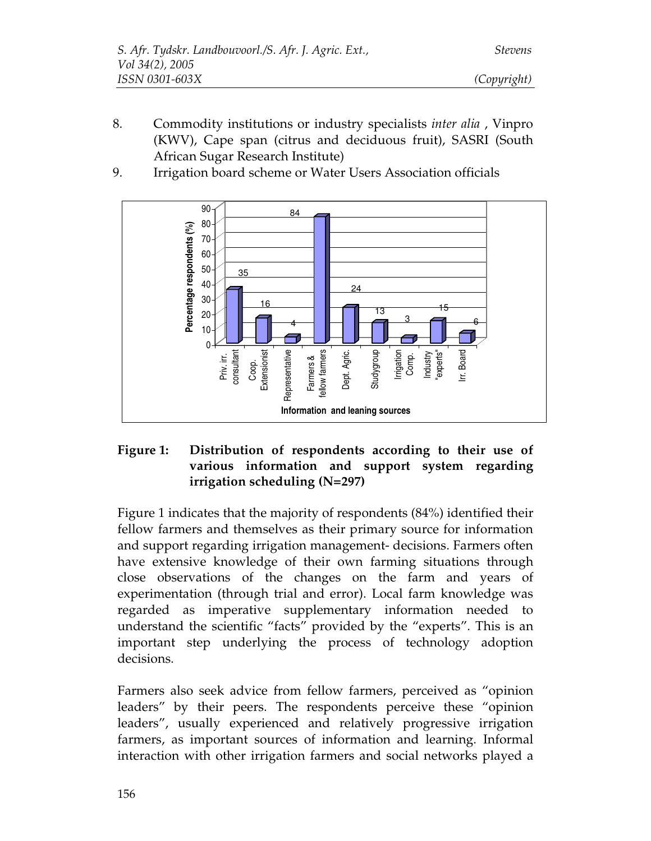8. Commodity institutions or industry specialists *inter alia* , Vinpro (KWV), Cape span (citrus and deciduous fruit), SASRI (South African Sugar Research Institute)



9. Irrigation board scheme or Water Users Association officials

### **Figure 1: Distribution of respondents according to their use of various information and support system regarding irrigation scheduling (N=297)**

Figure 1 indicates that the majority of respondents (84%) identified their fellow farmers and themselves as their primary source for information and support regarding irrigation management- decisions. Farmers often have extensive knowledge of their own farming situations through close observations of the changes on the farm and years of experimentation (through trial and error). Local farm knowledge was regarded as imperative supplementary information needed to understand the scientific "facts" provided by the "experts". This is an important step underlying the process of technology adoption decisions.

Farmers also seek advice from fellow farmers, perceived as "opinion leaders" by their peers. The respondents perceive these "opinion leaders", usually experienced and relatively progressive irrigation farmers, as important sources of information and learning. Informal interaction with other irrigation farmers and social networks played a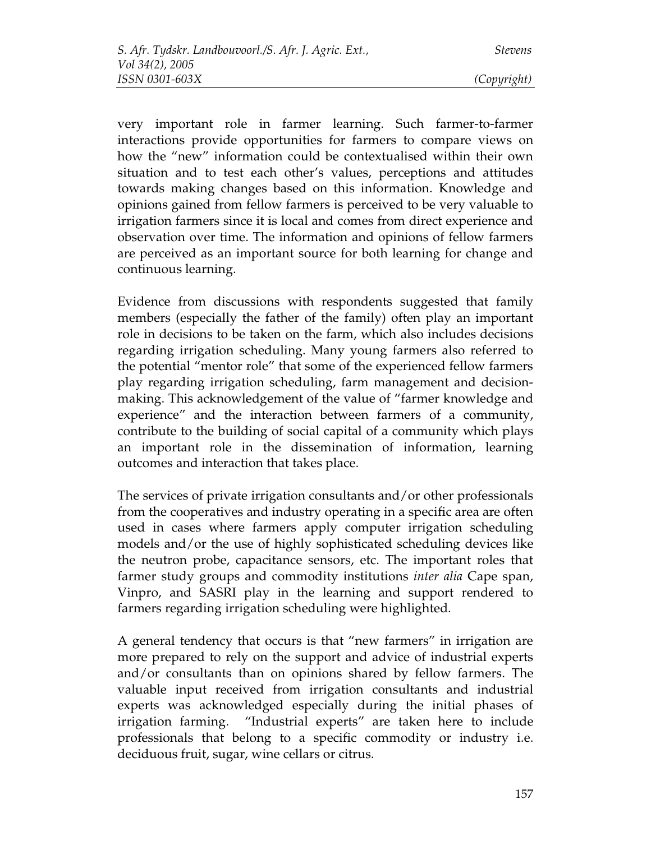very important role in farmer learning. Such farmer-to-farmer interactions provide opportunities for farmers to compare views on how the "new" information could be contextualised within their own situation and to test each other's values, perceptions and attitudes towards making changes based on this information. Knowledge and opinions gained from fellow farmers is perceived to be very valuable to irrigation farmers since it is local and comes from direct experience and observation over time. The information and opinions of fellow farmers are perceived as an important source for both learning for change and continuous learning.

Evidence from discussions with respondents suggested that family members (especially the father of the family) often play an important role in decisions to be taken on the farm, which also includes decisions regarding irrigation scheduling. Many young farmers also referred to the potential "mentor role" that some of the experienced fellow farmers play regarding irrigation scheduling, farm management and decisionmaking. This acknowledgement of the value of "farmer knowledge and experience" and the interaction between farmers of a community, contribute to the building of social capital of a community which plays an important role in the dissemination of information, learning outcomes and interaction that takes place.

The services of private irrigation consultants and/or other professionals from the cooperatives and industry operating in a specific area are often used in cases where farmers apply computer irrigation scheduling models and/or the use of highly sophisticated scheduling devices like the neutron probe, capacitance sensors, etc. The important roles that farmer study groups and commodity institutions *inter alia* Cape span, Vinpro, and SASRI play in the learning and support rendered to farmers regarding irrigation scheduling were highlighted.

A general tendency that occurs is that "new farmers" in irrigation are more prepared to rely on the support and advice of industrial experts and/or consultants than on opinions shared by fellow farmers. The valuable input received from irrigation consultants and industrial experts was acknowledged especially during the initial phases of irrigation farming. "Industrial experts" are taken here to include professionals that belong to a specific commodity or industry i.e. deciduous fruit, sugar, wine cellars or citrus.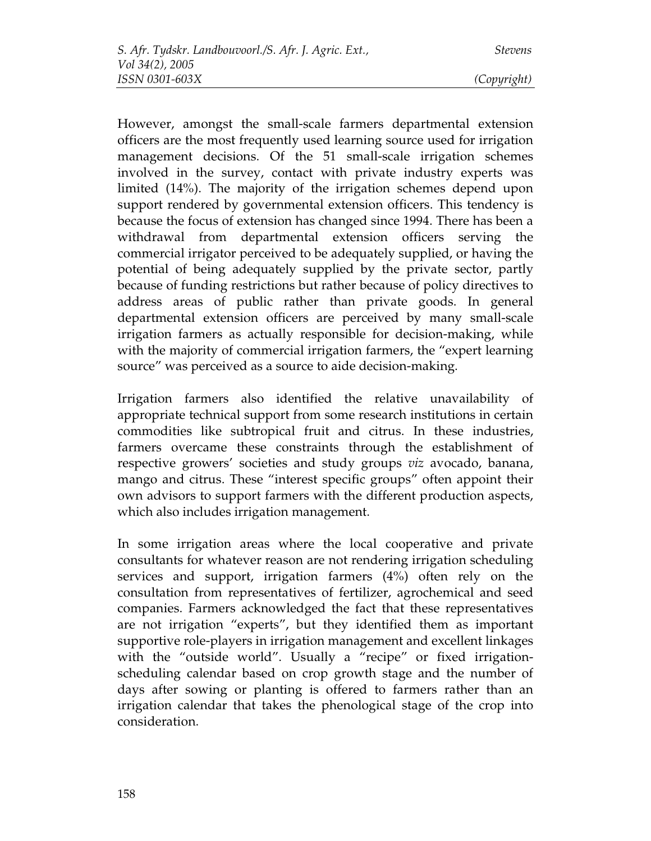However, amongst the small-scale farmers departmental extension officers are the most frequently used learning source used for irrigation management decisions. Of the 51 small-scale irrigation schemes involved in the survey, contact with private industry experts was limited (14%). The majority of the irrigation schemes depend upon support rendered by governmental extension officers. This tendency is because the focus of extension has changed since 1994. There has been a withdrawal from departmental extension officers serving the commercial irrigator perceived to be adequately supplied, or having the potential of being adequately supplied by the private sector, partly because of funding restrictions but rather because of policy directives to address areas of public rather than private goods. In general departmental extension officers are perceived by many small-scale irrigation farmers as actually responsible for decision-making, while with the majority of commercial irrigation farmers, the "expert learning source" was perceived as a source to aide decision-making.

Irrigation farmers also identified the relative unavailability of appropriate technical support from some research institutions in certain commodities like subtropical fruit and citrus. In these industries, farmers overcame these constraints through the establishment of respective growers' societies and study groups *viz* avocado, banana, mango and citrus. These "interest specific groups" often appoint their own advisors to support farmers with the different production aspects, which also includes irrigation management.

In some irrigation areas where the local cooperative and private consultants for whatever reason are not rendering irrigation scheduling services and support, irrigation farmers (4%) often rely on the consultation from representatives of fertilizer, agrochemical and seed companies. Farmers acknowledged the fact that these representatives are not irrigation "experts", but they identified them as important supportive role-players in irrigation management and excellent linkages with the "outside world". Usually a "recipe" or fixed irrigationscheduling calendar based on crop growth stage and the number of days after sowing or planting is offered to farmers rather than an irrigation calendar that takes the phenological stage of the crop into consideration.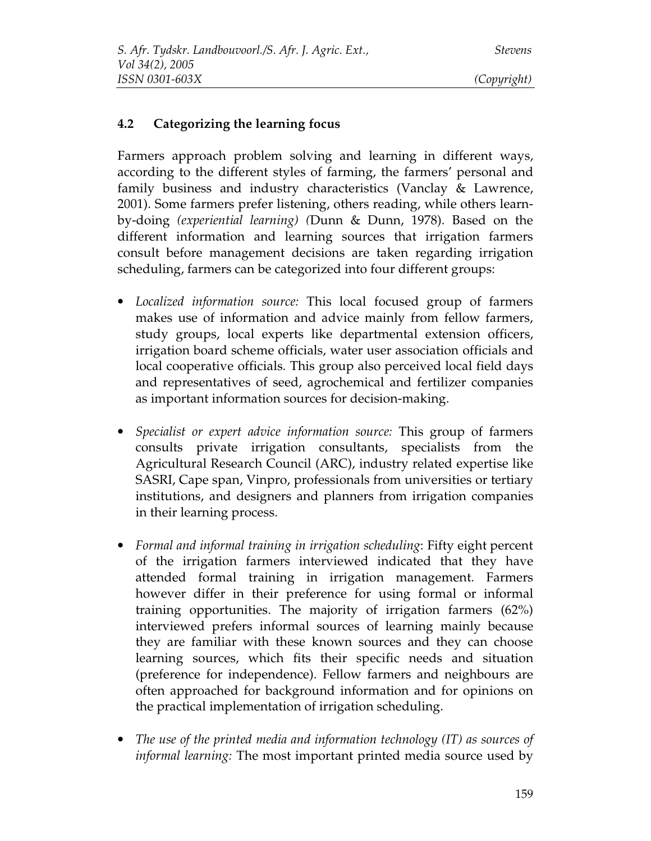### **4.2 Categorizing the learning focus**

Farmers approach problem solving and learning in different ways, according to the different styles of farming, the farmers' personal and family business and industry characteristics (Vanclay & Lawrence, 2001). Some farmers prefer listening, others reading, while others learnby-doing *(experiential learning) (*Dunn & Dunn, 1978). Based on the different information and learning sources that irrigation farmers consult before management decisions are taken regarding irrigation scheduling, farmers can be categorized into four different groups:

- *Localized information source:* This local focused group of farmers makes use of information and advice mainly from fellow farmers, study groups, local experts like departmental extension officers, irrigation board scheme officials, water user association officials and local cooperative officials. This group also perceived local field days and representatives of seed, agrochemical and fertilizer companies as important information sources for decision-making.
- *Specialist or expert advice information source:* This group of farmers consults private irrigation consultants, specialists from the Agricultural Research Council (ARC), industry related expertise like SASRI, Cape span, Vinpro, professionals from universities or tertiary institutions, and designers and planners from irrigation companies in their learning process.
- *Formal and informal training in irrigation scheduling*: Fifty eight percent of the irrigation farmers interviewed indicated that they have attended formal training in irrigation management. Farmers however differ in their preference for using formal or informal training opportunities. The majority of irrigation farmers (62%) interviewed prefers informal sources of learning mainly because they are familiar with these known sources and they can choose learning sources, which fits their specific needs and situation (preference for independence). Fellow farmers and neighbours are often approached for background information and for opinions on the practical implementation of irrigation scheduling.
- *The use of the printed media and information technology (IT) as sources of informal learning:* The most important printed media source used by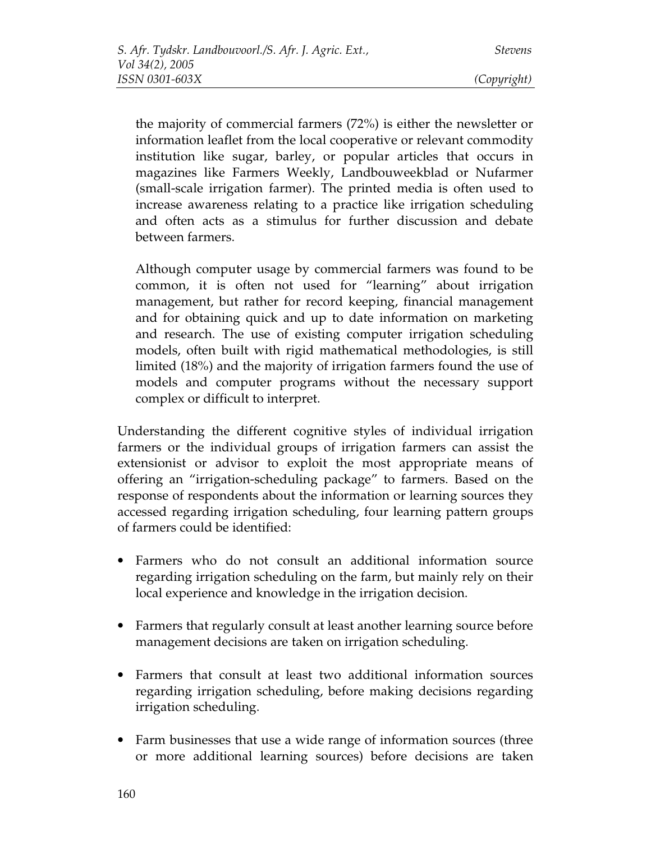the majority of commercial farmers (72%) is either the newsletter or information leaflet from the local cooperative or relevant commodity institution like sugar, barley, or popular articles that occurs in magazines like Farmers Weekly, Landbouweekblad or Nufarmer (small-scale irrigation farmer). The printed media is often used to increase awareness relating to a practice like irrigation scheduling and often acts as a stimulus for further discussion and debate between farmers.

Although computer usage by commercial farmers was found to be common, it is often not used for "learning" about irrigation management, but rather for record keeping, financial management and for obtaining quick and up to date information on marketing and research. The use of existing computer irrigation scheduling models, often built with rigid mathematical methodologies, is still limited (18%) and the majority of irrigation farmers found the use of models and computer programs without the necessary support complex or difficult to interpret.

Understanding the different cognitive styles of individual irrigation farmers or the individual groups of irrigation farmers can assist the extensionist or advisor to exploit the most appropriate means of offering an "irrigation-scheduling package" to farmers. Based on the response of respondents about the information or learning sources they accessed regarding irrigation scheduling, four learning pattern groups of farmers could be identified:

- Farmers who do not consult an additional information source regarding irrigation scheduling on the farm, but mainly rely on their local experience and knowledge in the irrigation decision.
- Farmers that regularly consult at least another learning source before management decisions are taken on irrigation scheduling.
- Farmers that consult at least two additional information sources regarding irrigation scheduling, before making decisions regarding irrigation scheduling.
- Farm businesses that use a wide range of information sources (three or more additional learning sources) before decisions are taken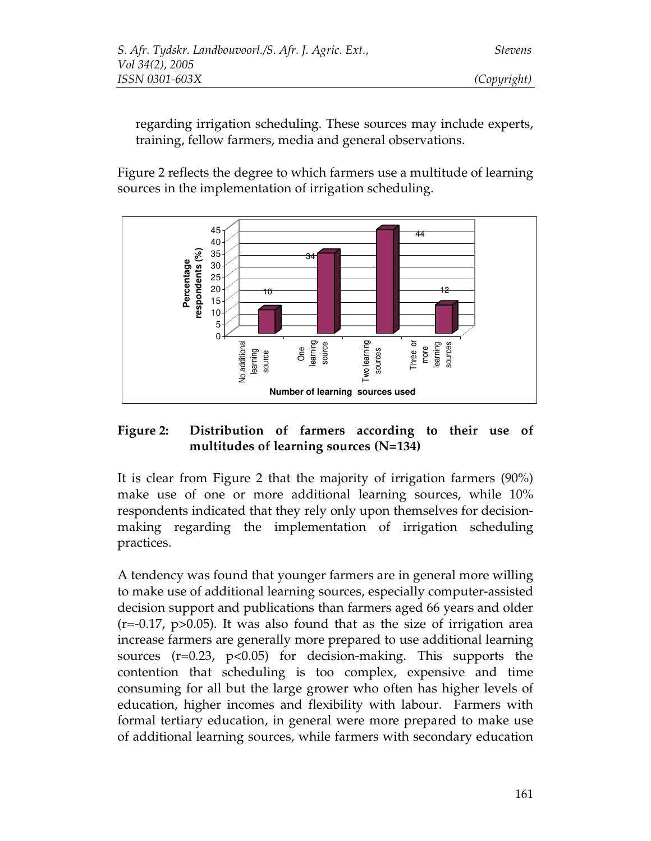regarding irrigation scheduling. These sources may include experts, training, fellow farmers, media and general observations.

Figure 2 reflects the degree to which farmers use a multitude of learning sources in the implementation of irrigation scheduling.



### **Figure 2: Distribution of farmers according to their use of multitudes of learning sources (N=134)**

It is clear from Figure 2 that the majority of irrigation farmers (90%) make use of one or more additional learning sources, while 10% respondents indicated that they rely only upon themselves for decisionmaking regarding the implementation of irrigation scheduling practices.

A tendency was found that younger farmers are in general more willing to make use of additional learning sources, especially computer-assisted decision support and publications than farmers aged 66 years and older  $(r=-0.17, p>0.05)$ . It was also found that as the size of irrigation area increase farmers are generally more prepared to use additional learning sources  $(r=0.23, p<0.05)$  for decision-making. This supports the contention that scheduling is too complex, expensive and time consuming for all but the large grower who often has higher levels of education, higher incomes and flexibility with labour. Farmers with formal tertiary education, in general were more prepared to make use of additional learning sources, while farmers with secondary education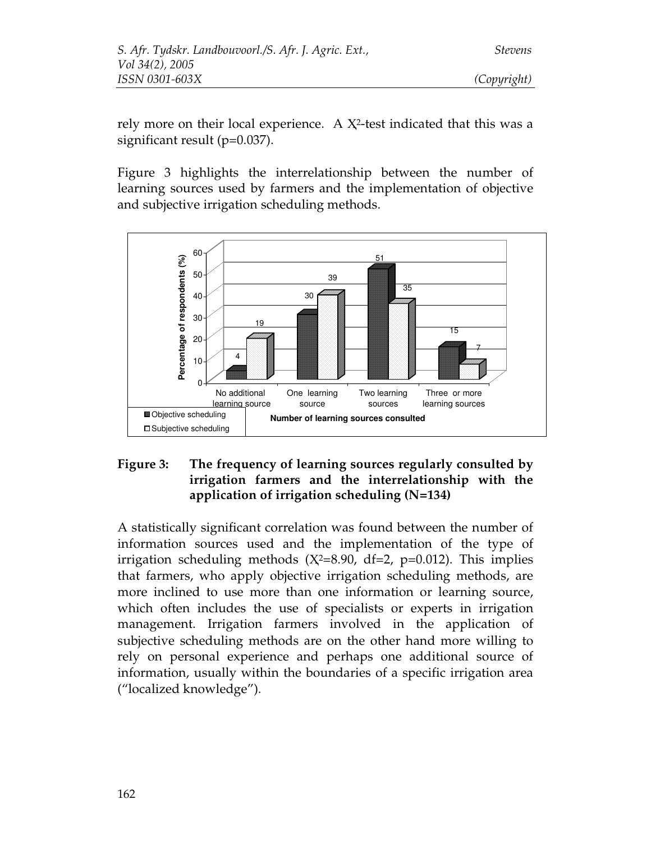rely more on their local experience. A  $X^2$ -test indicated that this was a significant result (p=0.037).

Figure 3 highlights the interrelationship between the number of learning sources used by farmers and the implementation of objective and subjective irrigation scheduling methods.



### **Figure 3: The frequency of learning sources regularly consulted by irrigation farmers and the interrelationship with the application of irrigation scheduling (N=134)**

A statistically significant correlation was found between the number of information sources used and the implementation of the type of irrigation scheduling methods  $(X^2=8.90, df=2, p=0.012)$ . This implies that farmers, who apply objective irrigation scheduling methods, are more inclined to use more than one information or learning source, which often includes the use of specialists or experts in irrigation management. Irrigation farmers involved in the application of subjective scheduling methods are on the other hand more willing to rely on personal experience and perhaps one additional source of information, usually within the boundaries of a specific irrigation area ("localized knowledge").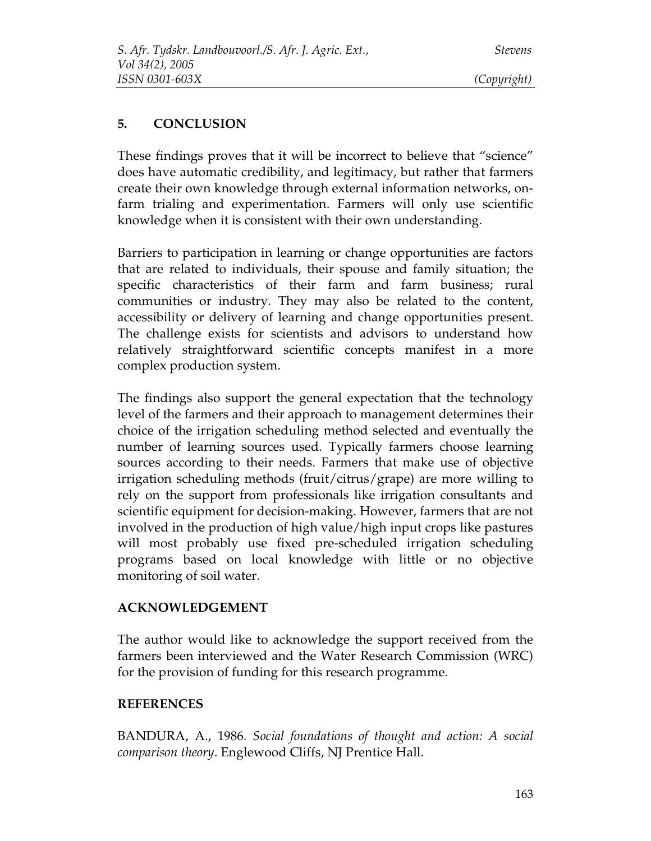## **5. CONCLUSION**

These findings proves that it will be incorrect to believe that "science" does have automatic credibility, and legitimacy, but rather that farmers create their own knowledge through external information networks, onfarm trialing and experimentation. Farmers will only use scientific knowledge when it is consistent with their own understanding.

Barriers to participation in learning or change opportunities are factors that are related to individuals, their spouse and family situation; the specific characteristics of their farm and farm business; rural communities or industry. They may also be related to the content, accessibility or delivery of learning and change opportunities present. The challenge exists for scientists and advisors to understand how relatively straightforward scientific concepts manifest in a more complex production system.

The findings also support the general expectation that the technology level of the farmers and their approach to management determines their choice of the irrigation scheduling method selected and eventually the number of learning sources used. Typically farmers choose learning sources according to their needs. Farmers that make use of objective irrigation scheduling methods (fruit/citrus/grape) are more willing to rely on the support from professionals like irrigation consultants and scientific equipment for decision-making. However, farmers that are not involved in the production of high value/high input crops like pastures will most probably use fixed pre-scheduled irrigation scheduling programs based on local knowledge with little or no objective monitoring of soil water.

## **ACKNOWLEDGEMENT**

The author would like to acknowledge the support received from the farmers been interviewed and the Water Research Commission (WRC) for the provision of funding for this research programme.

## **REFERENCES**

BANDURA, A., 1986. *Social foundations of thought and action: A social comparison theory*. Englewood Cliffs, NJ Prentice Hall.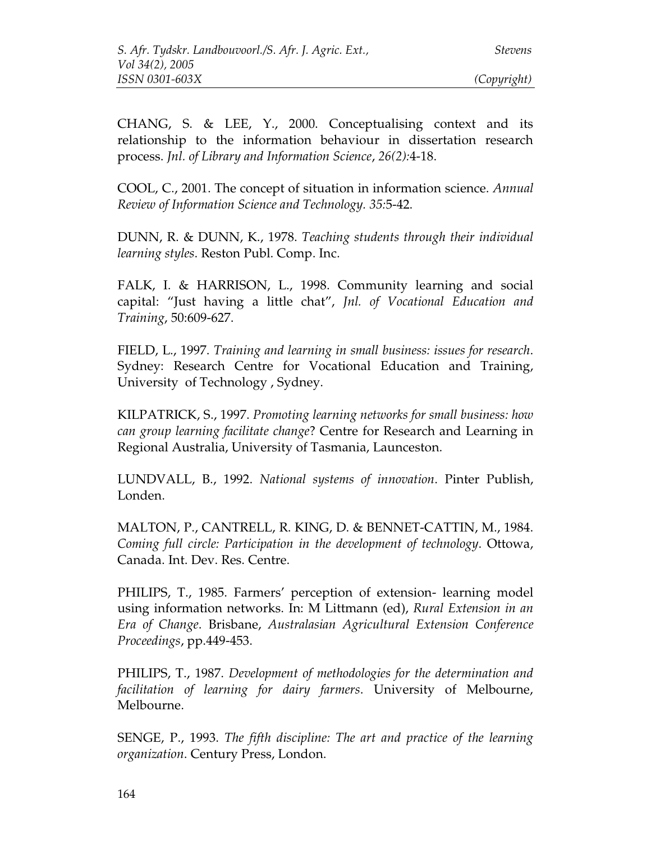CHANG, S. & LEE, Y., 2000. Conceptualising context and its relationship to the information behaviour in dissertation research process. *Jnl. of Library and Information Science*, *26(2):*4-18.

COOL, C., 2001. The concept of situation in information science. *Annual Review of Information Science and Technology. 35:*5-42.

DUNN, R. & DUNN, K., 1978. *Teaching students through their individual learning styles*. Reston Publ. Comp. Inc.

FALK, I. & HARRISON, L., 1998. Community learning and social capital: "Just having a little chat", *Jnl. of Vocational Education and Training*, 50:609-627.

FIELD, L., 1997. *Training and learning in small business: issues for research*. Sydney: Research Centre for Vocational Education and Training, University of Technology , Sydney.

KILPATRICK, S., 1997. *Promoting learning networks for small business: how can group learning facilitate change*? Centre for Research and Learning in Regional Australia, University of Tasmania, Launceston.

LUNDVALL, B., 1992. *National systems of innovation*. Pinter Publish, Londen.

MALTON, P., CANTRELL, R. KING, D. & BENNET-CATTIN, M., 1984. *Coming full circle: Participation in the development of technology*. Ottowa, Canada. Int. Dev. Res. Centre.

PHILIPS, T., 1985. Farmers' perception of extension- learning model using information networks. In: M Littmann (ed), *Rural Extension in an Era of Change*. Brisbane, *Australasian Agricultural Extension Conference Proceedings*, pp.449-453.

PHILIPS, T., 1987. *Development of methodologies for the determination and facilitation of learning for dairy farmers*. University of Melbourne, Melbourne.

SENGE, P., 1993. *The fifth discipline: The art and practice of the learning organization*. Century Press, London.